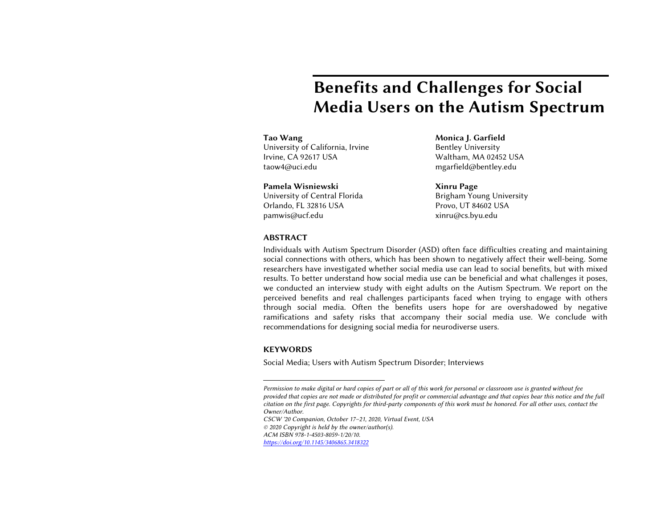# Benefits and Challenges for Social Media Users on the Autism Spectrum

University of California, Irvine **Bentley University** Irvine, CA 92617 USA Waltham, MA 02452 USA [taow4@uci.edu](mailto:taow4@uci.edu) [mgarfield@bentley.edu](mailto:mgarfield@bentley.edu) 

University of Central Florida Orlando, FL 32816 USA Provo, UT 84602 USA University of Central Florida **Brigham Young University** Pamela Wisniewski **Xinru Page** [pamwis@ucf.edu](mailto:pamwis@ucf.edu) xinru@cs.byu.edu

Tao Wang Nones and Monica J. Garfield

Provo. UT 84602 USA

### ABSTRACT

 Individuals with Autism Spectrum Disorder (ASD) often face difficulties creating and maintaining social connections with others, which has been shown to negatively affect their well-being. Some researchers have investigated whether social media use can lead to social benefits, but with mixed results. To better understand how social media use can be beneficial and what challenges it poses, we conducted an interview study with eight adults on the Autism Spectrum. We report on the perceived benefits and real challenges participants faced when trying to engage with others through social media. Often the benefits users hope for are overshadowed by negative ramifications and safety risks that accompany their social media use. We conclude with recommendations for designing social media for neurodiverse users.

#### **KEYWORDS**

Social Media; Users with Autism Spectrum Disorder; Interviews

 *CSCW '20 Companion, October 17–21, 2020, Virtual Event, USA © 2020 Copyright is held by the owner/author(s).* 

*ACM ISBN 978-1-4503-8059-1/20/10.* 

*<https://doi.org/10.1145/3406865.3418322>*

 *Permission to make digital or hard copies of part or all of this work for personal or classroom use is granted without fee provided that copies are not made or distributed for profit or commercial advantage and that copies bear this notice and the full citation on the first page. Copyrights for third-party components of this work must be honored. For all other uses, contact the Owner/Author.*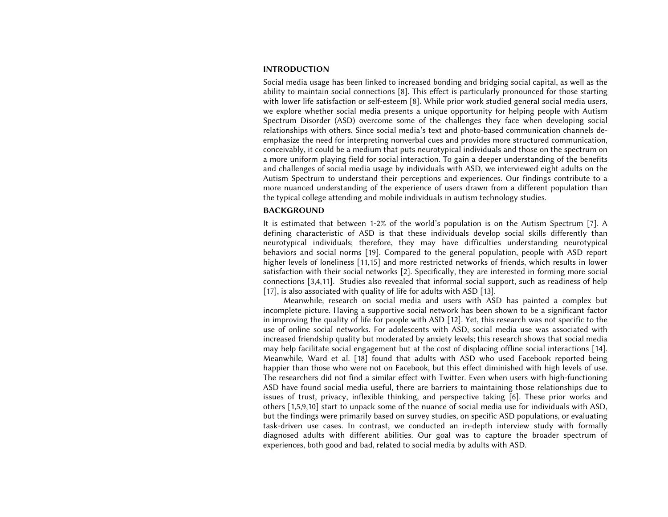#### INTRODUCTION

 Social media usage has been linked to increased bonding and bridging social capital, as well as the ability to maintain social connections [8]. This effect is particularly pronounced for those starting with lower life satisfaction or self-esteem [8]. While prior work studied general social media users, we explore whether social media presents a unique opportunity for helping people with Autism Spectrum Disorder (ASD) overcome some of the challenges they face when developing social relationships with others. Since social media's text and photo-based communication channels de- emphasize the need for interpreting nonverbal cues and provides more structured communication, conceivably, it could be a medium that puts neurotypical individuals and those on the spectrum on a more uniform playing field for social interaction. To gain a deeper understanding of the benefits and challenges of social media usage by individuals with ASD, we interviewed eight adults on the Autism Spectrum to understand their perceptions and experiences. Our findings contribute to a more nuanced understanding of the experience of users drawn from a different population than the typical college attending and mobile individuals in autism technology studies.

#### BACKGROUND

 It is estimated that between 1-2% of the world's population is on the Autism Spectrum [7]. A defining characteristic of ASD is that these individuals develop social skills differently than neurotypical individuals; therefore, they may have difficulties understanding neurotypical behaviors and social norms [19]. Compared to the general population, people with ASD report higher levels of loneliness [11,15] and more restricted networks of friends, which results in lower satisfaction with their social networks [2]. Specifically, they are interested in forming more social connections [3,4,11]. Studies also revealed that informal social support, such as readiness of help [17], is also associated with quality of life for adults with ASD [13].

 Meanwhile, research on social media and users with ASD has painted a complex but incomplete picture. Having a supportive social network has been shown to be a significant factor in improving the quality of life for people with ASD [12]. Yet, this research was not specific to the use of online social networks. For adolescents with ASD, social media use was associated with increased friendship quality but moderated by anxiety levels; this research shows that social media may help facilitate social engagement but at the cost of displacing offline social interactions [14]. Meanwhile, Ward et al. [18] found that adults with ASD who used Facebook reported being happier than those who were not on Facebook, but this effect diminished with high levels of use. The researchers did not find a similar effect with Twitter. Even when users with high-functioning ASD have found social media useful, there are barriers to maintaining those relationships due to issues of trust, privacy, inflexible thinking, and perspective taking [6]. These prior works and others [1,5,9,10] start to unpack some of the nuance of social media use for individuals with ASD, but the findings were primarily based on survey studies, on specific ASD populations, or evaluating task-driven use cases. In contrast, we conducted an in-depth interview study with formally diagnosed adults with different abilities. Our goal was to capture the broader spectrum of experiences, both good and bad, related to social media by adults with ASD.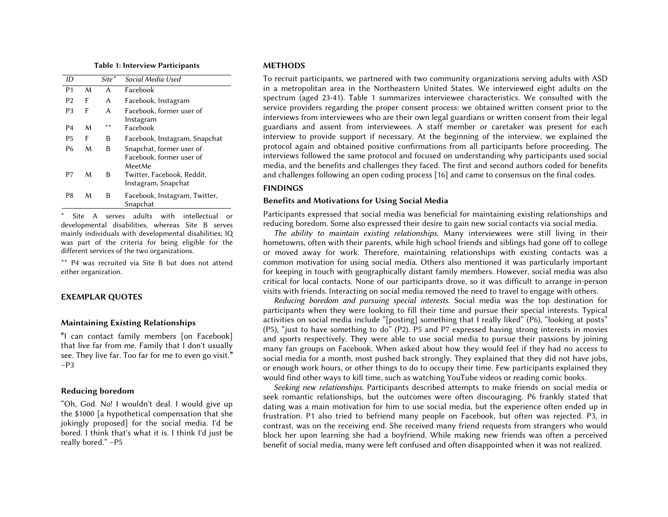Table 1: Interview Participants

| ID             |   | Site <sup>*</sup> | Social Media Used             |
|----------------|---|-------------------|-------------------------------|
| P <sub>1</sub> | M | A                 | Eacebook                      |
| P <sub>2</sub> | F | A                 | Facebook, Instagram           |
| P <sub>3</sub> | F | A                 | Facebook, former user of      |
|                |   |                   | Instagram                     |
| P <sub>4</sub> | м | **                | Eacebook                      |
| <b>P5</b>      | F | В                 | Facebook, Instagram, Snapchat |
| Р6             | м | В                 | Snapchat, former user of      |
|                |   |                   | Facebook, former user of      |
|                |   |                   | MeetMe                        |
| P7             | м | В                 | Twitter, Facebook, Reddit,    |
|                |   |                   | Instagram, Snapchat           |
|                |   |                   |                               |
| Р8             | м | В                 | Facebook, Instagram, Twitter, |
|                |   |                   | Snapchat                      |

\* Site A serves adults with intellectual or developmental disabilities, whereas Site B serves mainly individuals with developmental disabilities; IQ was part of the criteria for being eligible for the different services of the two organizations.

\*\* P4 was recruited via Site B but does not attend either organization.

#### EXEMPLAR QUOTES

#### Maintaining Existing Relationships

"I can contact family members [on Facebook] that live far from me. Family that I don't usually see. They live far. Too far for me to even go visit."  $-P3$ 

#### Reducing boredom

"Oh, God. No! I wouldn't deal. I would give up the \$1000 [a hypothetical compensation that she jokingly proposed] for the social media. I'd be bored. I think that's what it is. I think I'd just be really bored." –P5

#### METHODS

 To recruit participants, we partnered with two community organizations serving adults with ASD in a metropolitan area in the Northeastern United States. We interviewed eight adults on the spectrum (aged 23-41). Table 1 summarizes interviewee characteristics. We consulted with the service providers regarding the proper consent process: we obtained written consent prior to the interviews from interviewees who are their own legal guardians or written consent from their legal guardians and assent from interviewees. A staff member or caretaker was present for each interview to provide support if necessary. At the beginning of the interview, we explained the protocol again and obtained positive confirmations from all participants before proceeding. The interviews followed the same protocol and focused on understanding why participants used social media, and the benefits and challenges they faced. The first and second authors coded for benefits and challenges following an open coding process [16] and came to consensus on the final codes.

#### FINDINGS

#### Benefits and Motivations for Using Social Media

 Participants expressed that social media was beneficial for maintaining existing relationships and reducing boredom. Some also expressed their desire to gain new social contacts via social media.

 hometowns, often with their parents, while high school friends and siblings had gone off to college or moved away for work. Therefore, maintaining relationships with existing contacts was a common motivation for using social media. Others also mentioned it was particularly important for keeping in touch with geographically distant family members. However, social media was also critical for local contacts. None of our participants drove, so it was difficult to arrange in-person visits with friends. Interacting on social media removed the need to travel to engage with others. *The ability to maintain existing relationships.* Many interviewees were still living in their

 participants when they were looking to fill their time and pursue their special interests. Typical activities on social media include "[posting] something that I really liked" (P6), "looking at posts" (P5), "just to have something to do" (P2). P5 and P7 expressed having strong interests in movies and sports respectively. They were able to use social media to pursue their passions by joining many fan groups on Facebook. When asked about how they would feel if they had no access to social media for a month, most pushed back strongly. They explained that they did not have jobs, or enough work hours, or other things to do to occupy their time. Few participants explained they would find other ways to kill time, such as watching YouTube videos or reading comic books. *Reducing boredom and pursuing special interests.* Social media was the top destination for

 seek romantic relationships, but the outcomes were often discouraging. P6 frankly stated that dating was a main motivation for him to use social media, but the experience often ended up in frustration. P1 also tried to befriend many people on Facebook, but often was rejected. P3, in contrast, was on the receiving end. She received many friend requests from strangers who would block her upon learning she had a boyfriend. While making new friends was often a perceived benefit of social media, many were left confused and often disappointed when it was not realized. *Seeking new relationships.* Participants described attempts to make friends on social media or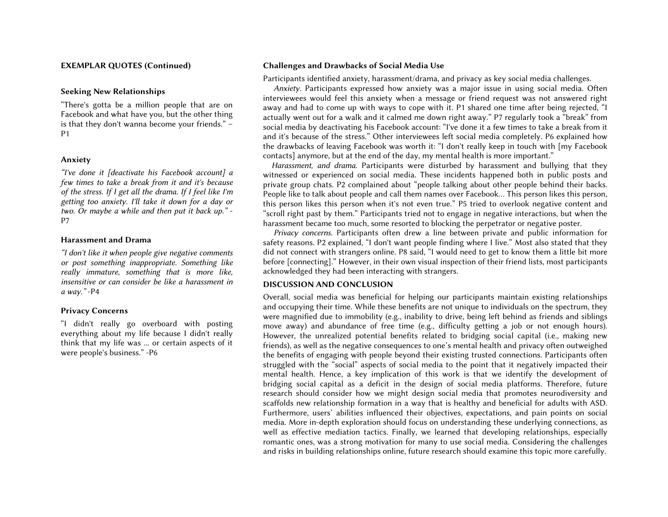#### EXEMPLAR QUOTES (Continued)

#### Seeking New Relationships

 "There's gotta be a million people that are on Facebook and what have you, but the other thing is that they don't wanna become your friends." – P1

#### Anxiety

 *"I've done it [deactivate his Facebook account] a few times to take a break from it and it's because of the stress. If I get all the drama. If I feel like I'm getting too anxiety. I'll take it down for a day or two. Or maybe a while and then put it back up."* - P7

#### Harassment and Drama

 *"I don't like it when people give negative comments or post something inappropriate. Something like really immature, something that is more like, insensitive or can consider be like a harassment in a way."* -P4

## Privacy Concerns

 "I didn't really go overboard with posting everything about my life because I didn't really think that my life was ... or certain aspects of it were people's business." -P6

#### Challenges and Drawbacks of Social Media Use

Participants identified anxiety, harassment/drama, and privacy as key social media challenges.

 interviewees would feel this anxiety when a message or friend request was not answered right away and had to come up with ways to cope with it. P1 shared one time after being rejected, "I actually went out for a walk and it calmed me down right away." P7 regularly took a "break" from social media by deactivating his Facebook account: "I've done it a few times to take a break from it and it's because of the stress." Other interviewees left social media completely. P6 explained how the drawbacks of leaving Facebook was worth it: "I don't really keep in touch with [my Facebook contacts] anymore, but at the end of the day, my mental health is more important." *Anxiety.* Participants expressed how anxiety was a major issue in using social media. Often

 witnessed or experienced on social media. These incidents happened both in public posts and private group chats. P2 complained about "people talking about other people behind their backs. People like to talk about people and call them names over Facebook… This person likes this person, this person likes this person when it's not even true." P5 tried to overlook negative content and "scroll right past by them." Participants tried not to engage in negative interactions, but when the harassment became too much, some resorted to blocking the perpetrator or negative poster. *Harassment, and drama.* Participants were disturbed by harassment and bullying that they

 safety reasons. P2 explained, "I don't want people finding where I live." Most also stated that they did not connect with strangers online. P8 said, "I would need to get to know them a little bit more before [connecting]." However, in their own visual inspection of their friend lists, most participants acknowledged they had been interacting with strangers. *Privacy concerns.* Participants often drew a line between private and public information for

# DISCUSSION AND CONCLUSION

 Overall, social media was beneficial for helping our participants maintain existing relationships and occupying their time. While these benefits are not unique to individuals on the spectrum, they were magnified due to immobility (e.g., inability to drive, being left behind as friends and siblings move away) and abundance of free time (e.g., difficulty getting a job or not enough hours). However, the unrealized potential benefits related to bridging social capital (i.e., making new friends), as well as the negative consequences to one's mental health and privacy often outweighed the benefits of engaging with people beyond their existing trusted connections. Participants often struggled with the "social" aspects of social media to the point that it negatively impacted their mental health. Hence, a key implication of this work is that we identify the development of bridging social capital as a deficit in the design of social media platforms. Therefore, future research should consider how we might design social media that promotes neurodiversity and scaffolds new relationship formation in a way that is healthy and beneficial for adults with ASD. Furthermore, users' abilities influenced their objectives, expectations, and pain points on social media. More in-depth exploration should focus on understanding these underlying connections, as well as effective mediation tactics. Finally, we learned that developing relationships, especially romantic ones, was a strong motivation for many to use social media. Considering the challenges and risks in building relationships online, future research should examine this topic more carefully.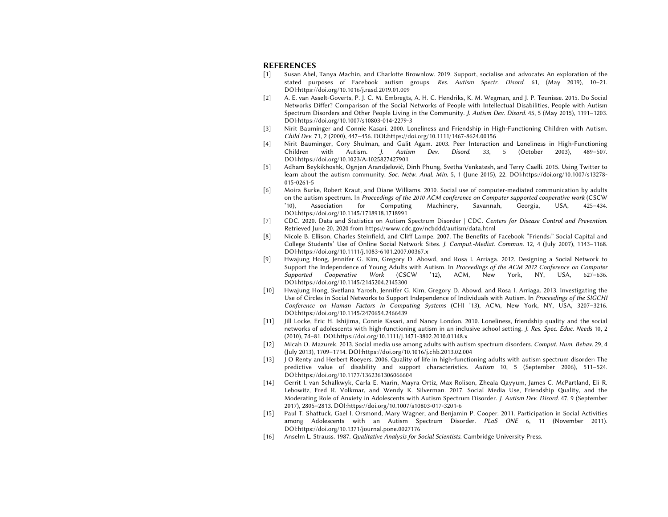#### REFERENCES

- [1] Susan Abel, Tanya Machin, and Charlotte Brownlow. 2019. Support, socialise and advocate: An exploration of the stated purposes of Facebook autism groups. *Res. Autism Spectr. Disord.* 61, (May 2019), 10–21. [DOI:https://doi.org/10.1016/j.rasd.2019.01.009](https://DOI:https://doi.org/10.1016/j.rasd.2019.01.009)
- [2] A. E. van Asselt-Goverts, P. J. C. M. Embregts, A. H. C. Hendriks, K. M. Wegman, and J. P. Teunisse. 2015. Do Social Networks Differ? Comparison of the Social Networks of People with Intellectual Disabilities, People with Autism Spectrum Disorders and Other People Living in the Community. *J. Autism Dev. Disord.* 45, 5 (May 2015), 1191–1203. [DOI:https://doi.org/10.1007/s10803-014-2279-3](https://DOI:https://doi.org/10.1007/s10803-014-2279-3)
- [3] Nirit Bauminger and Connie Kasari. 2000. Loneliness and Friendship in High-Functioning Children with Autism. *Child Dev.* 71, 2 (2000), 447–456. [DOI:https://doi.org/10.1111/1467-8624.00156](https://DOI:https://doi.org/10.1111/1467-8624.00156)
- [4] Nirit Bauminger, Cory Shulman, and Galit Agam. 2003. Peer Interaction and Loneliness in High-Functioning Children with Autism. *J. Autism Dev. Disord.* 33, 5 (October 2003), 489–507. DOI:https://doi.org/10.1023/A:1025827427901
- [5] Adham Beykikhoshk, Ognjen Arandjelović, Dinh Phung, Svetha Venkatesh, and Terry Caelli. 2015. Using Twitter to learn about the autism community. *Soc. Netw. Anal. Min.* 5, 1 (June 2015), 22. [DOI:https://doi.org/10.1007/s13278-](https://DOI:https://doi.org/10.1007/s13278) 015-0261-5
- [6] Moira Burke, Robert Kraut, and Diane Williams. 2010. Social use of computer-mediated communication by adults on the autism spectrum. In *Proceedings of the 2010 ACM conference on Computer supported cooperative work* (CSCW '10), Association for Computing Machinery, Savannah, Georgia, USA, 425–434. [DOI:https://doi.org/10.1145/1718918.1718991](https://DOI:https://doi.org/10.1145/1718918.1718991)
- [7] CDC. 2020. Data and Statistics on Autism Spectrum Disorder | CDC. *Centers for Disease Control and Prevention*. Retrieved June 20, 2020 from<https://www.cdc.gov/ncbddd/autism/data.html>
- [8] Nicole B. Ellison, Charles Steinfield, and Cliff Lampe. 2007. The Benefits of Facebook "Friends:" Social Capital and College Students' Use of Online Social Network Sites. *J. Comput.-Mediat. Commun.* 12, 4 (July 2007), 1143–1168. [DOI:https://doi.org/10.1111/j.1083-6101.2007.00367.x](https://DOI:https://doi.org/10.1111/j.1083-6101.2007.00367.x)
- [9] Hwajung Hong, Jennifer G. Kim, Gregory D. Abowd, and Rosa I. Arriaga. 2012. Designing a Social Network to Support the Independence of Young Adults with Autism. In *Proceedings of the ACM 2012 Conference on Computer*  Supported Cooperative Work (CSCW *Supported Cooperative Work* (CSCW '12), ACM, New York, NY, USA, 627–636. [DOI:https://doi.org/10.1145/2145204.2145300](https://DOI:https://doi.org/10.1145/2145204.2145300)
- [10] Hwajung Hong, Svetlana Yarosh, Jennifer G. Kim, Gregory D. Abowd, and Rosa I. Arriaga. 2013. Investigating the Use of Circles in Social Networks to Support Independence of Individuals with Autism. In *Proceedings of the SIGCHI Conference on Human Factors in Computing Systems* (CHI '13), ACM, New York, NY, USA, 3207–3216. [DOI:https://doi.org/10.1145/2470654.2466439](https://DOI:https://doi.org/10.1145/2470654.2466439)
- [11] Jill Locke, Eric H. Ishijima, Connie Kasari, and Nancy London. 2010. Loneliness, friendship quality and the social networks of adolescents with high-functioning autism in an inclusive school setting. *J. Res. Spec. Educ. Needs* 10, 2 (2010), 74–81. [DOI:https://doi.org/10.1111/j.1471-3802.2010.01148.x](https://DOI:https://doi.org/10.1111/j.1471-3802.2010.01148.x)
- [12] Micah O. Mazurek. 2013. Social media use among adults with autism spectrum disorders. *Comput. Hum. Behav.* 29, 4 (July 2013), 1709–1714. [DOI:https://doi.org/10.1016/j.chb.2013.02.004](https://DOI:https://doi.org/10.1016/j.chb.2013.02.004)
- [13] J O Renty and Herbert Roeyers. 2006. Quality of life in high-functioning adults with autism spectrum disorder: The predictive value of disability and support characteristics. *Autism* 10, 5 (September 2006), 511–524. [DOI:https://doi.org/10.1177/1362361306066604](https://DOI:https://doi.org/10.1177/1362361306066604)
- [14] Gerrit I. van Schalkwyk, Carla E. Marin, Mayra Ortiz, Max Rolison, Zheala Qayyum, James C. McPartland, Eli R. Lebowitz, Fred R. Volkmar, and Wendy K. Silverman. 2017. Social Media Use, Friendship Quality, and the Moderating Role of Anxiety in Adolescents with Autism Spectrum Disorder. *J. Autism Dev. Disord.* 47, 9 (September 2017), 2805–2813. [DOI:https://doi.org/10.1007/s10803-017-3201-6](https://DOI:https://doi.org/10.1007/s10803-017-3201-6)
- [15] Paul T. Shattuck, Gael I. Orsmond, Mary Wagner, and Benjamin P. Cooper. 2011. Participation in Social Activities among Adolescents with an Autism Spectrum Disorder. *PLoS ONE* 6, 11 (November 2011). [DOI:https://doi.org/10.1371/journal.pone.0027176](https://DOI:https://doi.org/10.1371/journal.pone.0027176)
- [16] Anselm L. Strauss. 1987. *Qualitative Analysis for Social Scientists*. Cambridge University Press.